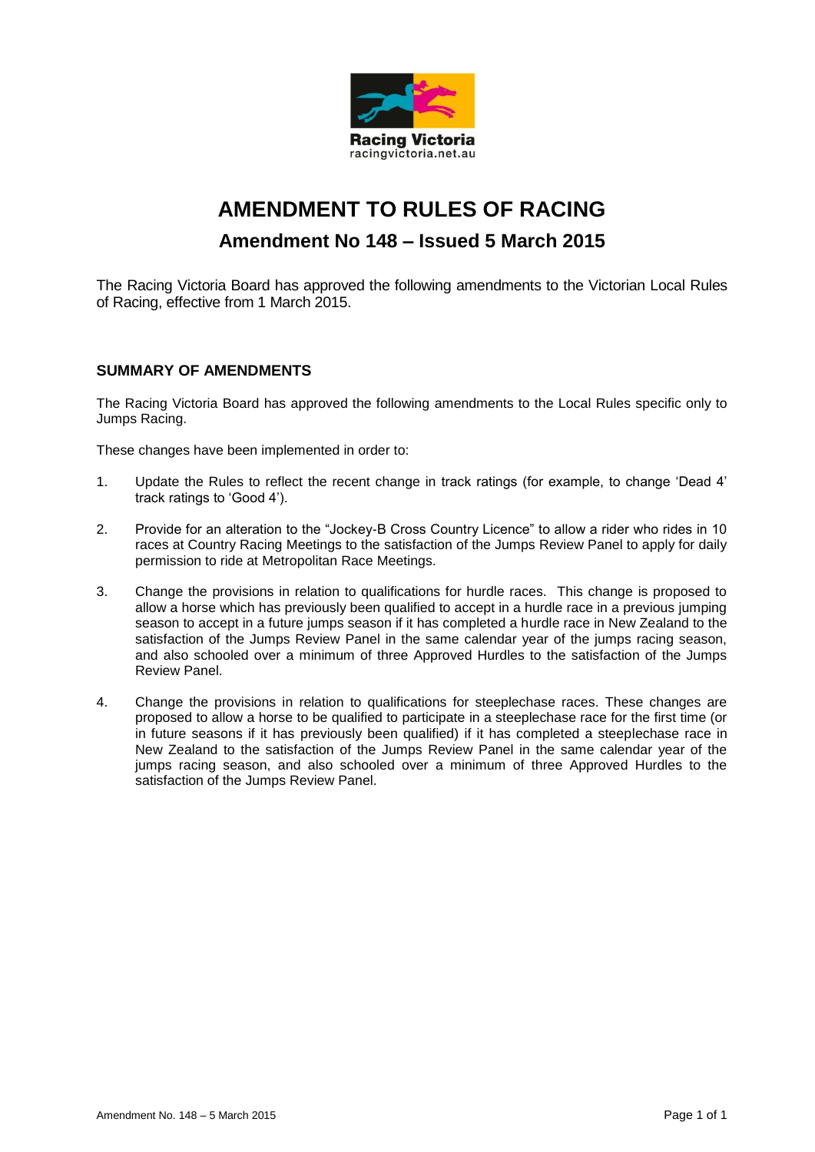

# **AMENDMENT TO RULES OF RACING Amendment No 148 – Issued 5 March 2015**

The Racing Victoria Board has approved the following amendments to the Victorian Local Rules of Racing, effective from 1 March 2015.

#### **SUMMARY OF AMENDMENTS**

The Racing Victoria Board has approved the following amendments to the Local Rules specific only to Jumps Racing.

These changes have been implemented in order to:

- 1. Update the Rules to reflect the recent change in track ratings (for example, to change 'Dead 4' track ratings to 'Good 4').
- 2. Provide for an alteration to the "Jockey-B Cross Country Licence" to allow a rider who rides in 10 races at Country Racing Meetings to the satisfaction of the Jumps Review Panel to apply for daily permission to ride at Metropolitan Race Meetings.
- 3. Change the provisions in relation to qualifications for hurdle races. This change is proposed to allow a horse which has previously been qualified to accept in a hurdle race in a previous jumping season to accept in a future jumps season if it has completed a hurdle race in New Zealand to the satisfaction of the Jumps Review Panel in the same calendar year of the jumps racing season, and also schooled over a minimum of three Approved Hurdles to the satisfaction of the Jumps Review Panel.
- 4. Change the provisions in relation to qualifications for steeplechase races. These changes are proposed to allow a horse to be qualified to participate in a steeplechase race for the first time (or in future seasons if it has previously been qualified) if it has completed a steeplechase race in New Zealand to the satisfaction of the Jumps Review Panel in the same calendar year of the jumps racing season, and also schooled over a minimum of three Approved Hurdles to the satisfaction of the Jumps Review Panel.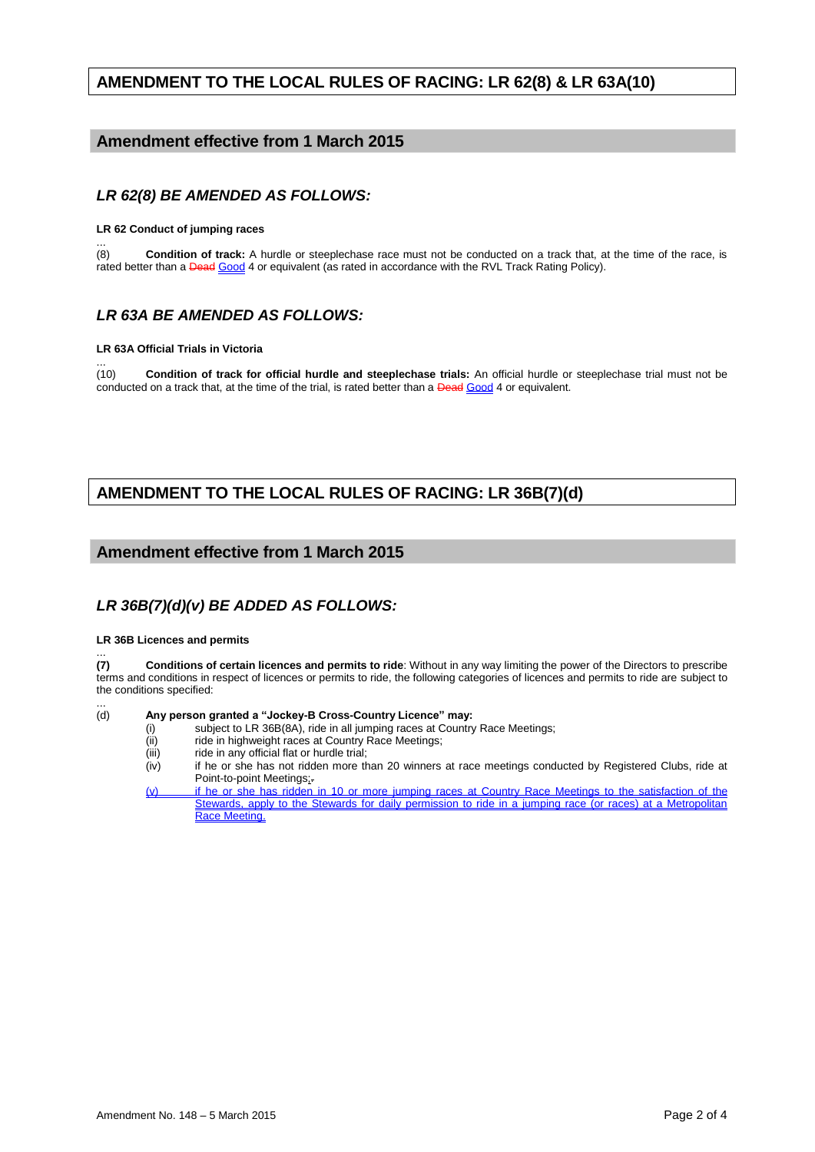## **AMENDMENT TO THE LOCAL RULES OF RACING: LR 62(8) & LR 63A(10)**

## **Amendment effective from 1 March 2015**

### *LR 62(8) BE AMENDED AS FOLLOWS:*

#### **LR 62 Conduct of jumping races**

... (8) **Condition of track:** A hurdle or steeplechase race must not be conducted on a track that, at the time of the race, is rated better than a **Dead Good 4** or equivalent (as rated in accordance with the RVL Track Rating Policy).

#### *LR 63A BE AMENDED AS FOLLOWS:*

#### **LR 63A Official Trials in Victoria**

... (10) **Condition of track for official hurdle and steeplechase trials:** An official hurdle or steeplechase trial must not be conducted on a track that, at the time of the trial, is rated better than a Dead Good 4 or equivalent.

# **AMENDMENT TO THE LOCAL RULES OF RACING: LR 36B(7)(d)**

#### **Amendment effective from 1 March 2015**

## *LR 36B(7)(d)(v) BE ADDED AS FOLLOWS:*

#### **LR 36B Licences and permits**

 $(7)$ **(7) Conditions of certain licences and permits to ride**: Without in any way limiting the power of the Directors to prescribe terms and conditions in respect of licences or permits to ride, the following categories of licences and permits to ride are subject to the conditions specified:

 $(d)$ Any person granted a "Jockey-B Cross-Country Licence" may:

- (i) subject to LR 36B(8A), ride in all jumping races at Country Race Meetings;<br>(ii) ride in highweight races at Country Race Meetings;
- (ii) ride in highweight races at Country Race Meetings;<br>(iii) ride in any official flat or hurdle trial;
- ride in any official flat or hurdle trial;
- (iv) if he or she has not ridden more than 20 winners at race meetings conducted by Registered Clubs, ride at Point-to-point Meetings;.
- (v) if he or she has ridden in 10 or more jumping races at Country Race Meetings to the satisfaction of the Stewards, apply to the Stewards for daily permission to ride in a jumping race (or races) at a Metropolitan Race Meeting.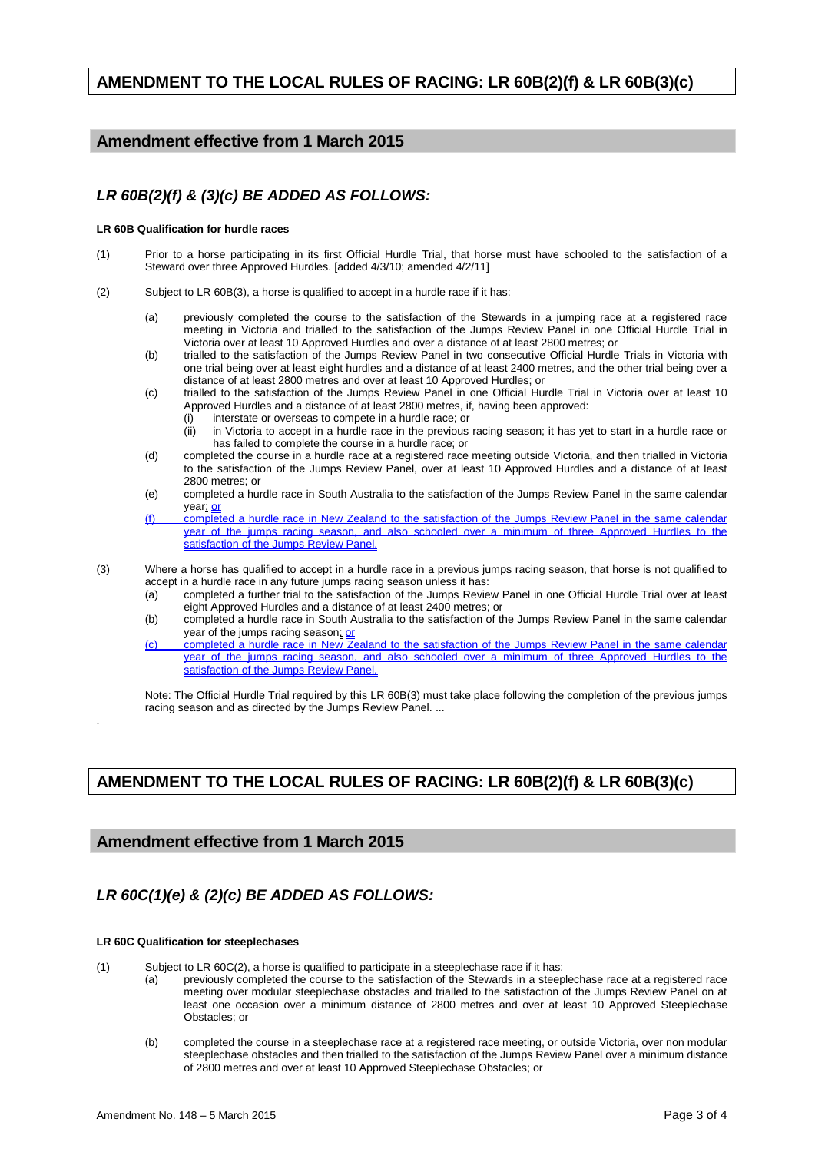## **AMENDMENT TO THE LOCAL RULES OF RACING: LR 60B(2)(f) & LR 60B(3)(c)**

## **Amendment effective from 1 March 2015**

## *LR 60B(2)(f) & (3)(c) BE ADDED AS FOLLOWS:*

#### **LR 60B Qualification for hurdle races**

- (1) Prior to a horse participating in its first Official Hurdle Trial, that horse must have schooled to the satisfaction of a Steward over three Approved Hurdles. [added 4/3/10; amended 4/2/11]
- (2) Subject to LR 60B(3), a horse is qualified to accept in a hurdle race if it has:
	- (a) previously completed the course to the satisfaction of the Stewards in a jumping race at a registered race meeting in Victoria and trialled to the satisfaction of the Jumps Review Panel in one Official Hurdle Trial in Victoria over at least 10 Approved Hurdles and over a distance of at least 2800 metres; or
	- (b) trialled to the satisfaction of the Jumps Review Panel in two consecutive Official Hurdle Trials in Victoria with one trial being over at least eight hurdles and a distance of at least 2400 metres, and the other trial being over a distance of at least 2800 metres and over at least 10 Approved Hurdles; or
	- (c) trialled to the satisfaction of the Jumps Review Panel in one Official Hurdle Trial in Victoria over at least 10 Approved Hurdles and a distance of at least 2800 metres, if, having been approved:
		- (i) interstate or overseas to compete in a hurdle race; or
		- (ii) in Victoria to accept in a hurdle race in the previous racing season; it has yet to start in a hurdle race or has failed to complete the course in a hurdle race; or
	- (d) completed the course in a hurdle race at a registered race meeting outside Victoria, and then trialled in Victoria to the satisfaction of the Jumps Review Panel, over at least 10 Approved Hurdles and a distance of at least 2800 metres; or
	- (e) completed a hurdle race in South Australia to the satisfaction of the Jumps Review Panel in the same calendar year; or
	- (f) completed a hurdle race in New Zealand to the satisfaction of the Jumps Review Panel in the same calendar year of the jumps racing season, and also schooled over a minimum of three Approved Hurdles to the satisfaction of the Jumps Review Panel.
- (3) Where a horse has qualified to accept in a hurdle race in a previous jumps racing season, that horse is not qualified to accept in a hurdle race in any future jumps racing season unless it has:
	- (a) completed a further trial to the satisfaction of the Jumps Review Panel in one Official Hurdle Trial over at least eight Approved Hurdles and a distance of at least 2400 metres; or
	- (b) completed a hurdle race in South Australia to the satisfaction of the Jumps Review Panel in the same calendar year of the jumps racing season; or
	- (c) completed a hurdle race in New Zealand to the satisfaction of the Jumps Review Panel in the year of the jumps racing season, and also schooled over a minimum of three Approved Hurdles to the satisfaction of the Jumps Review Panel.

Note: The Official Hurdle Trial required by this LR 60B(3) must take place following the completion of the previous jumps racing season and as directed by the Jumps Review Panel. ...

# **AMENDMENT TO THE LOCAL RULES OF RACING: LR 60B(2)(f) & LR 60B(3)(c)**

#### **Amendment effective from 1 March 2015**

# *LR 60C(1)(e) & (2)(c) BE ADDED AS FOLLOWS:*

#### **LR 60C Qualification for steeplechases**

.

- (1) Subject to LR 60C(2), a horse is qualified to participate in a steeplechase race if it has:
	- (a) previously completed the course to the satisfaction of the Stewards in a steeplechase race at a registered race meeting over modular steeplechase obstacles and trialled to the satisfaction of the Jumps Review Panel on at least one occasion over a minimum distance of 2800 metres and over at least 10 Approved Steeplechase Obstacles; or
	- (b) completed the course in a steeplechase race at a registered race meeting, or outside Victoria, over non modular steeplechase obstacles and then trialled to the satisfaction of the Jumps Review Panel over a minimum distance of 2800 metres and over at least 10 Approved Steeplechase Obstacles; or